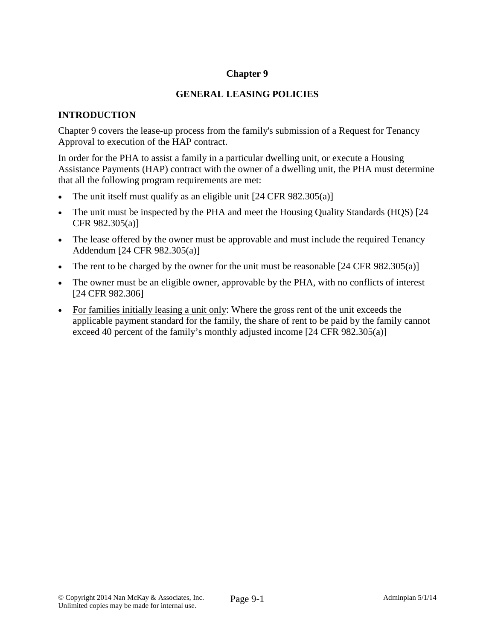### **Chapter 9**

## **GENERAL LEASING POLICIES**

## **INTRODUCTION**

Chapter 9 covers the lease-up process from the family's submission of a Request for Tenancy Approval to execution of the HAP contract.

In order for the PHA to assist a family in a particular dwelling unit, or execute a Housing Assistance Payments (HAP) contract with the owner of a dwelling unit, the PHA must determine that all the following program requirements are met:

- The unit itself must qualify as an eligible unit [24 CFR 982.305(a)]
- The unit must be inspected by the PHA and meet the Housing Quality Standards (HQS) [24 CFR 982.305(a)]
- The lease offered by the owner must be approvable and must include the required Tenancy Addendum [24 CFR 982.305(a)]
- The rent to be charged by the owner for the unit must be reasonable  $[24 \text{ CFR } 982.305(a)]$
- The owner must be an eligible owner, approvable by the PHA, with no conflicts of interest [24 CFR 982.306]
- For families initially leasing a unit only: Where the gross rent of the unit exceeds the applicable payment standard for the family, the share of rent to be paid by the family cannot exceed 40 percent of the family's monthly adjusted income [24 CFR 982.305(a)]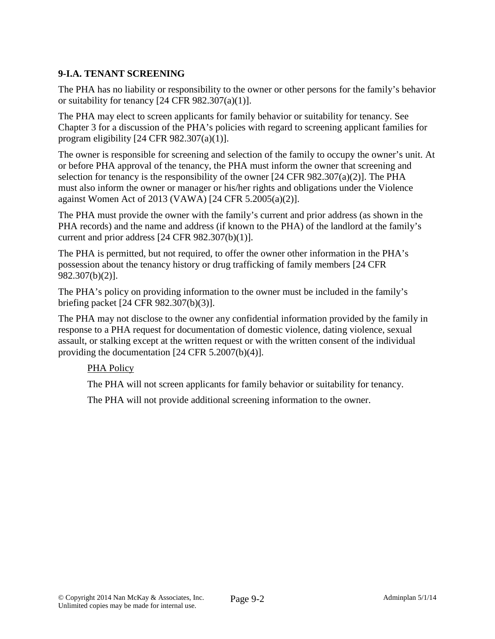# **9-I.A. TENANT SCREENING**

The PHA has no liability or responsibility to the owner or other persons for the family's behavior or suitability for tenancy  $[24 \text{ CFR } 982.307(a)(1)].$ 

The PHA may elect to screen applicants for family behavior or suitability for tenancy. See Chapter 3 for a discussion of the PHA's policies with regard to screening applicant families for program eligibility [24 CFR 982.307(a)(1)].

The owner is responsible for screening and selection of the family to occupy the owner's unit. At or before PHA approval of the tenancy, the PHA must inform the owner that screening and selection for tenancy is the responsibility of the owner  $[24 \text{ CFR } 982.307(a)(2)]$ . The PHA must also inform the owner or manager or his/her rights and obligations under the Violence against Women Act of 2013 (VAWA) [24 CFR 5.2005(a)(2)].

The PHA must provide the owner with the family's current and prior address (as shown in the PHA records) and the name and address (if known to the PHA) of the landlord at the family's current and prior address  $[24 \text{ CFR } 982.307(b)(1)].$ 

The PHA is permitted, but not required, to offer the owner other information in the PHA's possession about the tenancy history or drug trafficking of family members [24 CFR 982.307(b)(2)].

The PHA's policy on providing information to the owner must be included in the family's briefing packet [24 CFR 982.307(b)(3)].

The PHA may not disclose to the owner any confidential information provided by the family in response to a PHA request for documentation of domestic violence, dating violence, sexual assault, or stalking except at the written request or with the written consent of the individual providing the documentation [24 CFR 5.2007(b)(4)].

### PHA Policy

The PHA will not screen applicants for family behavior or suitability for tenancy.

The PHA will not provide additional screening information to the owner.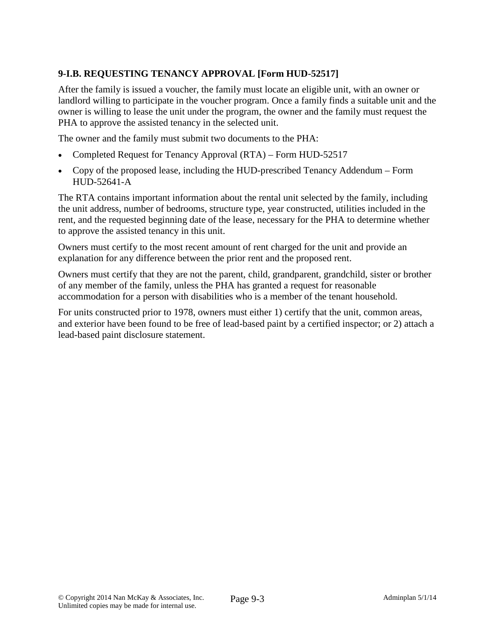# **9-I.B. REQUESTING TENANCY APPROVAL [Form HUD-52517]**

After the family is issued a voucher, the family must locate an eligible unit, with an owner or landlord willing to participate in the voucher program. Once a family finds a suitable unit and the owner is willing to lease the unit under the program, the owner and the family must request the PHA to approve the assisted tenancy in the selected unit.

The owner and the family must submit two documents to the PHA:

- Completed Request for Tenancy Approval (RTA) Form HUD-52517
- Copy of the proposed lease, including the HUD-prescribed Tenancy Addendum Form HUD-52641-A

The RTA contains important information about the rental unit selected by the family, including the unit address, number of bedrooms, structure type, year constructed, utilities included in the rent, and the requested beginning date of the lease, necessary for the PHA to determine whether to approve the assisted tenancy in this unit.

Owners must certify to the most recent amount of rent charged for the unit and provide an explanation for any difference between the prior rent and the proposed rent.

Owners must certify that they are not the parent, child, grandparent, grandchild, sister or brother of any member of the family, unless the PHA has granted a request for reasonable accommodation for a person with disabilities who is a member of the tenant household.

For units constructed prior to 1978, owners must either 1) certify that the unit, common areas, and exterior have been found to be free of lead-based paint by a certified inspector; or 2) attach a lead-based paint disclosure statement.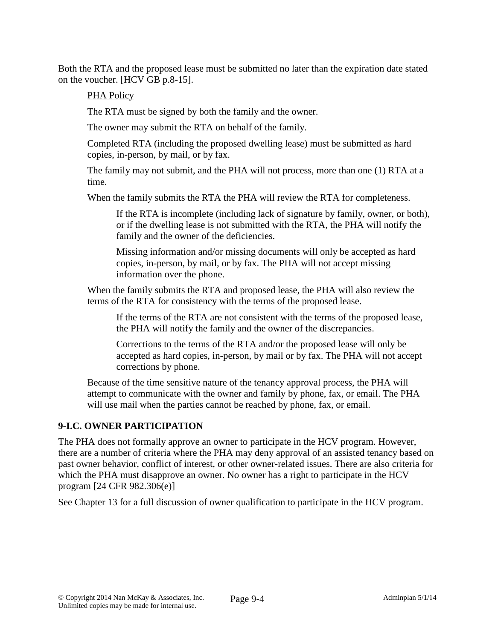Both the RTA and the proposed lease must be submitted no later than the expiration date stated on the voucher. [HCV GB p.8-15].

## PHA Policy

The RTA must be signed by both the family and the owner.

The owner may submit the RTA on behalf of the family.

Completed RTA (including the proposed dwelling lease) must be submitted as hard copies, in-person, by mail, or by fax.

The family may not submit, and the PHA will not process, more than one (1) RTA at a time.

When the family submits the RTA the PHA will review the RTA for completeness.

If the RTA is incomplete (including lack of signature by family, owner, or both), or if the dwelling lease is not submitted with the RTA, the PHA will notify the family and the owner of the deficiencies.

Missing information and/or missing documents will only be accepted as hard copies, in-person, by mail, or by fax. The PHA will not accept missing information over the phone.

When the family submits the RTA and proposed lease, the PHA will also review the terms of the RTA for consistency with the terms of the proposed lease.

If the terms of the RTA are not consistent with the terms of the proposed lease, the PHA will notify the family and the owner of the discrepancies.

Corrections to the terms of the RTA and/or the proposed lease will only be accepted as hard copies, in-person, by mail or by fax. The PHA will not accept corrections by phone.

Because of the time sensitive nature of the tenancy approval process, the PHA will attempt to communicate with the owner and family by phone, fax, or email. The PHA will use mail when the parties cannot be reached by phone, fax, or email.

# **9-I.C. OWNER PARTICIPATION**

The PHA does not formally approve an owner to participate in the HCV program. However, there are a number of criteria where the PHA may deny approval of an assisted tenancy based on past owner behavior, conflict of interest, or other owner-related issues. There are also criteria for which the PHA must disapprove an owner. No owner has a right to participate in the HCV program [24 CFR 982.306(e)]

See Chapter 13 for a full discussion of owner qualification to participate in the HCV program.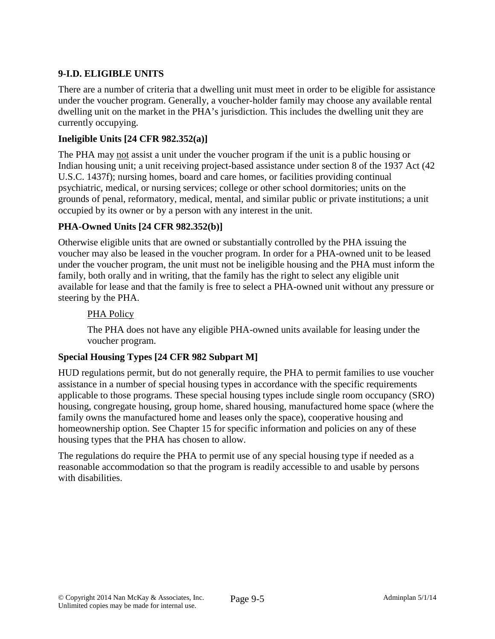# **9-I.D. ELIGIBLE UNITS**

There are a number of criteria that a dwelling unit must meet in order to be eligible for assistance under the voucher program. Generally, a voucher-holder family may choose any available rental dwelling unit on the market in the PHA's jurisdiction. This includes the dwelling unit they are currently occupying.

## **Ineligible Units [24 CFR 982.352(a)]**

The PHA may not assist a unit under the voucher program if the unit is a public housing or Indian housing unit; a unit receiving project-based assistance under section 8 of the 1937 Act (42 U.S.C. 1437f); nursing homes, board and care homes, or facilities providing continual psychiatric, medical, or nursing services; college or other school dormitories; units on the grounds of penal, reformatory, medical, mental, and similar public or private institutions; a unit occupied by its owner or by a person with any interest in the unit.

# **PHA-Owned Units [24 CFR 982.352(b)]**

Otherwise eligible units that are owned or substantially controlled by the PHA issuing the voucher may also be leased in the voucher program. In order for a PHA-owned unit to be leased under the voucher program, the unit must not be ineligible housing and the PHA must inform the family, both orally and in writing, that the family has the right to select any eligible unit available for lease and that the family is free to select a PHA-owned unit without any pressure or steering by the PHA.

## PHA Policy

The PHA does not have any eligible PHA-owned units available for leasing under the voucher program.

### **Special Housing Types [24 CFR 982 Subpart M]**

HUD regulations permit, but do not generally require, the PHA to permit families to use voucher assistance in a number of special housing types in accordance with the specific requirements applicable to those programs. These special housing types include single room occupancy (SRO) housing, congregate housing, group home, shared housing, manufactured home space (where the family owns the manufactured home and leases only the space), cooperative housing and homeownership option. See Chapter 15 for specific information and policies on any of these housing types that the PHA has chosen to allow.

The regulations do require the PHA to permit use of any special housing type if needed as a reasonable accommodation so that the program is readily accessible to and usable by persons with disabilities.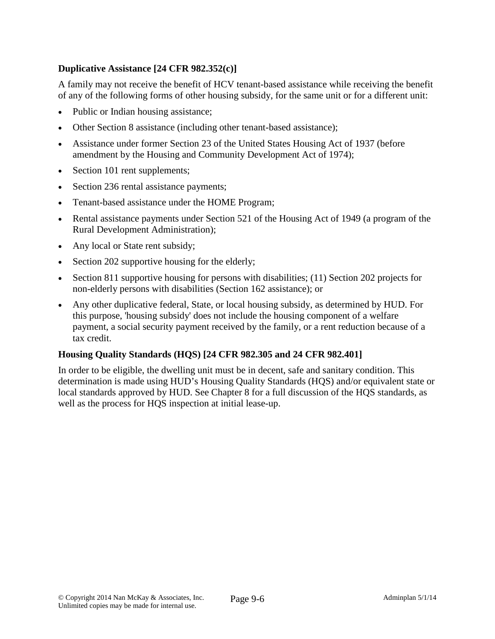## **Duplicative Assistance [24 CFR 982.352(c)]**

A family may not receive the benefit of HCV tenant-based assistance while receiving the benefit of any of the following forms of other housing subsidy, for the same unit or for a different unit:

- Public or Indian housing assistance;
- Other Section 8 assistance (including other tenant-based assistance);
- Assistance under former Section 23 of the United States Housing Act of 1937 (before amendment by the Housing and Community Development Act of 1974);
- Section 101 rent supplements;
- Section 236 rental assistance payments;
- Tenant-based assistance under the HOME Program;
- Rental assistance payments under Section 521 of the Housing Act of 1949 (a program of the Rural Development Administration);
- Any local or State rent subsidy;
- Section 202 supportive housing for the elderly;
- Section 811 supportive housing for persons with disabilities; (11) Section 202 projects for non-elderly persons with disabilities (Section 162 assistance); or
- Any other duplicative federal, State, or local housing subsidy, as determined by HUD. For this purpose, 'housing subsidy' does not include the housing component of a welfare payment, a social security payment received by the family, or a rent reduction because of a tax credit.

#### **Housing Quality Standards (HQS) [24 CFR 982.305 and 24 CFR 982.401]**

In order to be eligible, the dwelling unit must be in decent, safe and sanitary condition. This determination is made using HUD's Housing Quality Standards (HQS) and/or equivalent state or local standards approved by HUD. See Chapter 8 for a full discussion of the HQS standards, as well as the process for HQS inspection at initial lease-up.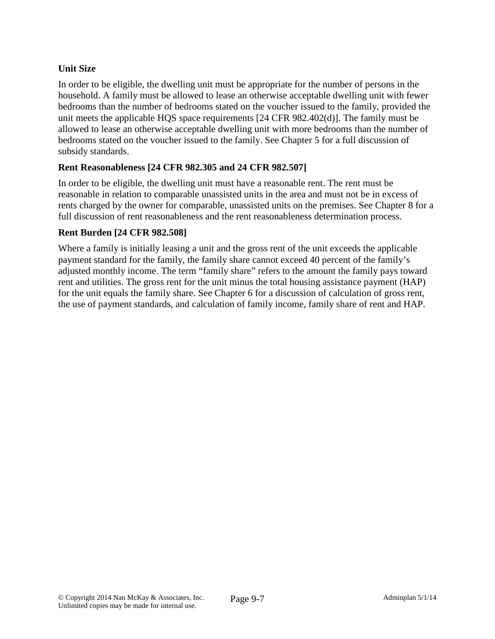## **Unit Size**

In order to be eligible, the dwelling unit must be appropriate for the number of persons in the household. A family must be allowed to lease an otherwise acceptable dwelling unit with fewer bedrooms than the number of bedrooms stated on the voucher issued to the family, provided the unit meets the applicable HQS space requirements [24 CFR 982.402(d)]. The family must be allowed to lease an otherwise acceptable dwelling unit with more bedrooms than the number of bedrooms stated on the voucher issued to the family. See Chapter 5 for a full discussion of subsidy standards.

### **Rent Reasonableness [24 CFR 982.305 and 24 CFR 982.507]**

In order to be eligible, the dwelling unit must have a reasonable rent. The rent must be reasonable in relation to comparable unassisted units in the area and must not be in excess of rents charged by the owner for comparable, unassisted units on the premises. See Chapter 8 for a full discussion of rent reasonableness and the rent reasonableness determination process.

### **Rent Burden [24 CFR 982.508]**

Where a family is initially leasing a unit and the gross rent of the unit exceeds the applicable payment standard for the family, the family share cannot exceed 40 percent of the family's adjusted monthly income. The term "family share" refers to the amount the family pays toward rent and utilities. The gross rent for the unit minus the total housing assistance payment (HAP) for the unit equals the family share. See Chapter 6 for a discussion of calculation of gross rent, the use of payment standards, and calculation of family income, family share of rent and HAP.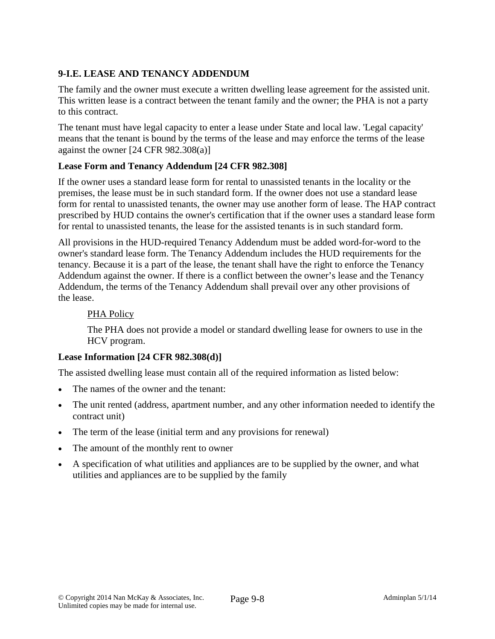# **9-I.E. LEASE AND TENANCY ADDENDUM**

The family and the owner must execute a written dwelling lease agreement for the assisted unit. This written lease is a contract between the tenant family and the owner; the PHA is not a party to this contract.

The tenant must have legal capacity to enter a lease under State and local law. 'Legal capacity' means that the tenant is bound by the terms of the lease and may enforce the terms of the lease against the owner [24 CFR 982.308(a)]

## **Lease Form and Tenancy Addendum [24 CFR 982.308]**

If the owner uses a standard lease form for rental to unassisted tenants in the locality or the premises, the lease must be in such standard form. If the owner does not use a standard lease form for rental to unassisted tenants, the owner may use another form of lease. The HAP contract prescribed by HUD contains the owner's certification that if the owner uses a standard lease form for rental to unassisted tenants, the lease for the assisted tenants is in such standard form.

All provisions in the HUD-required Tenancy Addendum must be added word-for-word to the owner's standard lease form. The Tenancy Addendum includes the HUD requirements for the tenancy. Because it is a part of the lease, the tenant shall have the right to enforce the Tenancy Addendum against the owner. If there is a conflict between the owner's lease and the Tenancy Addendum, the terms of the Tenancy Addendum shall prevail over any other provisions of the lease.

### PHA Policy

The PHA does not provide a model or standard dwelling lease for owners to use in the HCV program.

### **Lease Information [24 CFR 982.308(d)]**

The assisted dwelling lease must contain all of the required information as listed below:

- The names of the owner and the tenant:
- The unit rented (address, apartment number, and any other information needed to identify the contract unit)
- The term of the lease (initial term and any provisions for renewal)
- The amount of the monthly rent to owner
- A specification of what utilities and appliances are to be supplied by the owner, and what utilities and appliances are to be supplied by the family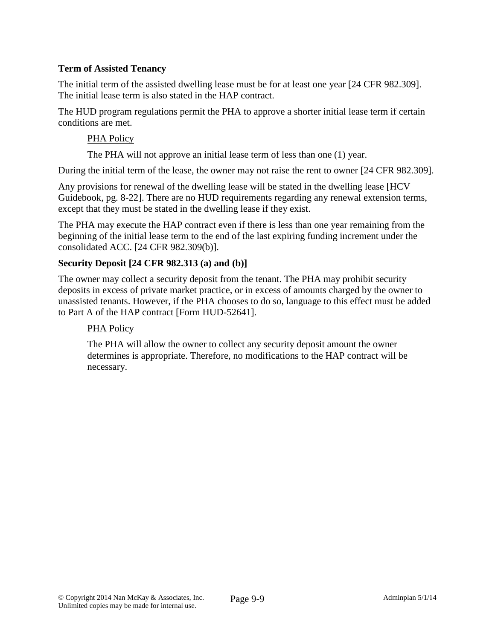### **Term of Assisted Tenancy**

The initial term of the assisted dwelling lease must be for at least one year [24 CFR 982.309]. The initial lease term is also stated in the HAP contract.

The HUD program regulations permit the PHA to approve a shorter initial lease term if certain conditions are met.

#### PHA Policy

The PHA will not approve an initial lease term of less than one (1) year.

During the initial term of the lease, the owner may not raise the rent to owner [24 CFR 982.309].

Any provisions for renewal of the dwelling lease will be stated in the dwelling lease [HCV Guidebook, pg. 8-22]. There are no HUD requirements regarding any renewal extension terms, except that they must be stated in the dwelling lease if they exist.

The PHA may execute the HAP contract even if there is less than one year remaining from the beginning of the initial lease term to the end of the last expiring funding increment under the consolidated ACC. [24 CFR 982.309(b)].

#### **Security Deposit [24 CFR 982.313 (a) and (b)]**

The owner may collect a security deposit from the tenant. The PHA may prohibit security deposits in excess of private market practice, or in excess of amounts charged by the owner to unassisted tenants. However, if the PHA chooses to do so, language to this effect must be added to Part A of the HAP contract [Form HUD-52641].

### PHA Policy

The PHA will allow the owner to collect any security deposit amount the owner determines is appropriate. Therefore, no modifications to the HAP contract will be necessary.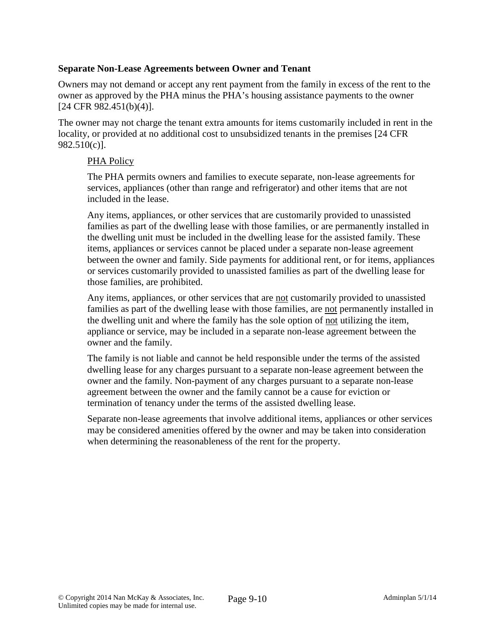#### **Separate Non-Lease Agreements between Owner and Tenant**

Owners may not demand or accept any rent payment from the family in excess of the rent to the owner as approved by the PHA minus the PHA's housing assistance payments to the owner [24 CFR 982.451(b)(4)].

The owner may not charge the tenant extra amounts for items customarily included in rent in the locality, or provided at no additional cost to unsubsidized tenants in the premises [24 CFR 982.510(c)].

#### PHA Policy

The PHA permits owners and families to execute separate, non-lease agreements for services, appliances (other than range and refrigerator) and other items that are not included in the lease.

Any items, appliances, or other services that are customarily provided to unassisted families as part of the dwelling lease with those families, or are permanently installed in the dwelling unit must be included in the dwelling lease for the assisted family. These items, appliances or services cannot be placed under a separate non-lease agreement between the owner and family. Side payments for additional rent, or for items, appliances or services customarily provided to unassisted families as part of the dwelling lease for those families, are prohibited.

Any items, appliances, or other services that are not customarily provided to unassisted families as part of the dwelling lease with those families, are not permanently installed in the dwelling unit and where the family has the sole option of not utilizing the item, appliance or service, may be included in a separate non-lease agreement between the owner and the family.

The family is not liable and cannot be held responsible under the terms of the assisted dwelling lease for any charges pursuant to a separate non-lease agreement between the owner and the family. Non-payment of any charges pursuant to a separate non-lease agreement between the owner and the family cannot be a cause for eviction or termination of tenancy under the terms of the assisted dwelling lease.

Separate non-lease agreements that involve additional items, appliances or other services may be considered amenities offered by the owner and may be taken into consideration when determining the reasonableness of the rent for the property.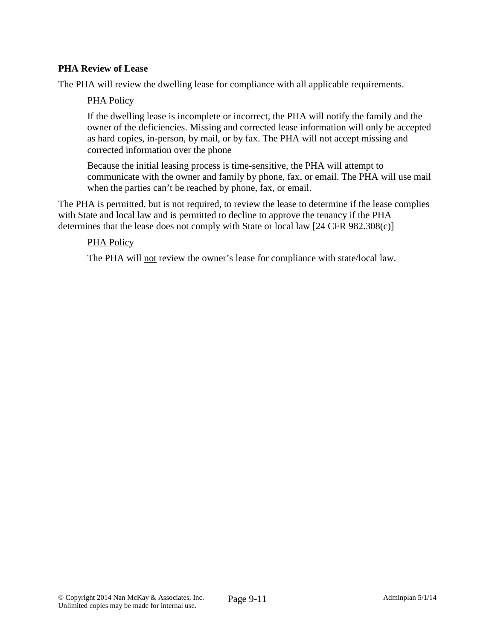### **PHA Review of Lease**

The PHA will review the dwelling lease for compliance with all applicable requirements.

#### PHA Policy

If the dwelling lease is incomplete or incorrect, the PHA will notify the family and the owner of the deficiencies. Missing and corrected lease information will only be accepted as hard copies, in-person, by mail, or by fax. The PHA will not accept missing and corrected information over the phone

Because the initial leasing process is time-sensitive, the PHA will attempt to communicate with the owner and family by phone, fax, or email. The PHA will use mail when the parties can't be reached by phone, fax, or email.

The PHA is permitted, but is not required, to review the lease to determine if the lease complies with State and local law and is permitted to decline to approve the tenancy if the PHA determines that the lease does not comply with State or local law [24 CFR 982.308(c)]

#### PHA Policy

The PHA will not review the owner's lease for compliance with state/local law.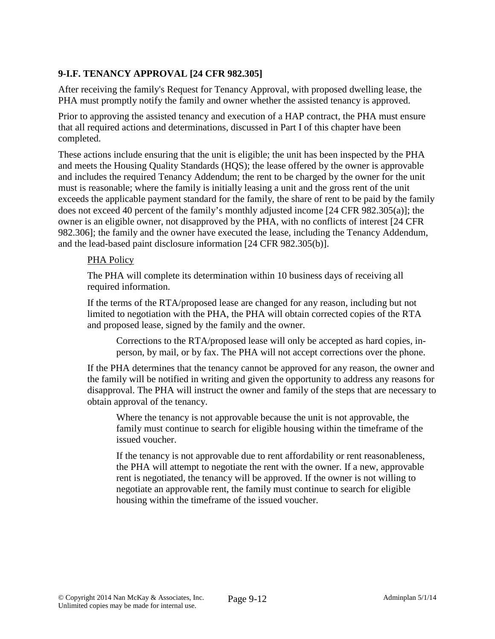## **9-I.F. TENANCY APPROVAL [24 CFR 982.305]**

After receiving the family's Request for Tenancy Approval, with proposed dwelling lease, the PHA must promptly notify the family and owner whether the assisted tenancy is approved.

Prior to approving the assisted tenancy and execution of a HAP contract, the PHA must ensure that all required actions and determinations, discussed in Part I of this chapter have been completed.

These actions include ensuring that the unit is eligible; the unit has been inspected by the PHA and meets the Housing Quality Standards (HQS); the lease offered by the owner is approvable and includes the required Tenancy Addendum; the rent to be charged by the owner for the unit must is reasonable; where the family is initially leasing a unit and the gross rent of the unit exceeds the applicable payment standard for the family, the share of rent to be paid by the family does not exceed 40 percent of the family's monthly adjusted income [24 CFR 982.305(a)]; the owner is an eligible owner, not disapproved by the PHA, with no conflicts of interest [24 CFR 982.306]; the family and the owner have executed the lease, including the Tenancy Addendum, and the lead-based paint disclosure information [24 CFR 982.305(b)].

#### PHA Policy

The PHA will complete its determination within 10 business days of receiving all required information.

If the terms of the RTA/proposed lease are changed for any reason, including but not limited to negotiation with the PHA, the PHA will obtain corrected copies of the RTA and proposed lease, signed by the family and the owner.

Corrections to the RTA/proposed lease will only be accepted as hard copies, inperson, by mail, or by fax. The PHA will not accept corrections over the phone.

If the PHA determines that the tenancy cannot be approved for any reason, the owner and the family will be notified in writing and given the opportunity to address any reasons for disapproval. The PHA will instruct the owner and family of the steps that are necessary to obtain approval of the tenancy.

Where the tenancy is not approvable because the unit is not approvable, the family must continue to search for eligible housing within the timeframe of the issued voucher.

If the tenancy is not approvable due to rent affordability or rent reasonableness, the PHA will attempt to negotiate the rent with the owner. If a new, approvable rent is negotiated, the tenancy will be approved. If the owner is not willing to negotiate an approvable rent, the family must continue to search for eligible housing within the timeframe of the issued voucher.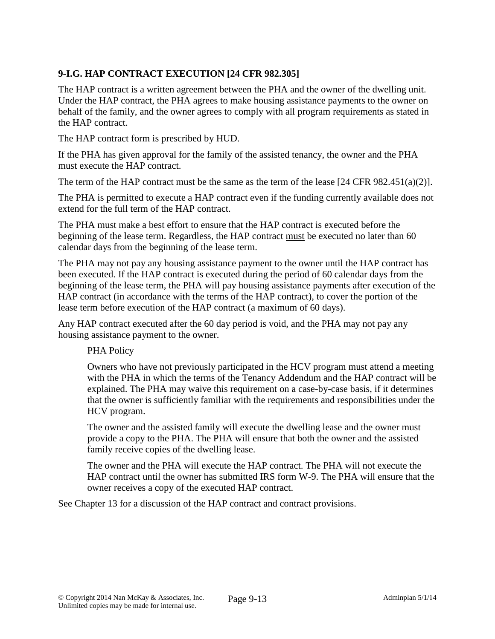## **9-I.G. HAP CONTRACT EXECUTION [24 CFR 982.305]**

The HAP contract is a written agreement between the PHA and the owner of the dwelling unit. Under the HAP contract, the PHA agrees to make housing assistance payments to the owner on behalf of the family, and the owner agrees to comply with all program requirements as stated in the HAP contract.

The HAP contract form is prescribed by HUD.

If the PHA has given approval for the family of the assisted tenancy, the owner and the PHA must execute the HAP contract.

The term of the HAP contract must be the same as the term of the lease  $[24 \text{ CFR } 982.451(a)(2)].$ 

The PHA is permitted to execute a HAP contract even if the funding currently available does not extend for the full term of the HAP contract.

The PHA must make a best effort to ensure that the HAP contract is executed before the beginning of the lease term. Regardless, the HAP contract must be executed no later than 60 calendar days from the beginning of the lease term.

The PHA may not pay any housing assistance payment to the owner until the HAP contract has been executed. If the HAP contract is executed during the period of 60 calendar days from the beginning of the lease term, the PHA will pay housing assistance payments after execution of the HAP contract (in accordance with the terms of the HAP contract), to cover the portion of the lease term before execution of the HAP contract (a maximum of 60 days).

Any HAP contract executed after the 60 day period is void, and the PHA may not pay any housing assistance payment to the owner.

#### PHA Policy

Owners who have not previously participated in the HCV program must attend a meeting with the PHA in which the terms of the Tenancy Addendum and the HAP contract will be explained. The PHA may waive this requirement on a case-by-case basis, if it determines that the owner is sufficiently familiar with the requirements and responsibilities under the HCV program.

The owner and the assisted family will execute the dwelling lease and the owner must provide a copy to the PHA. The PHA will ensure that both the owner and the assisted family receive copies of the dwelling lease.

The owner and the PHA will execute the HAP contract. The PHA will not execute the HAP contract until the owner has submitted IRS form W-9. The PHA will ensure that the owner receives a copy of the executed HAP contract.

See Chapter 13 for a discussion of the HAP contract and contract provisions.